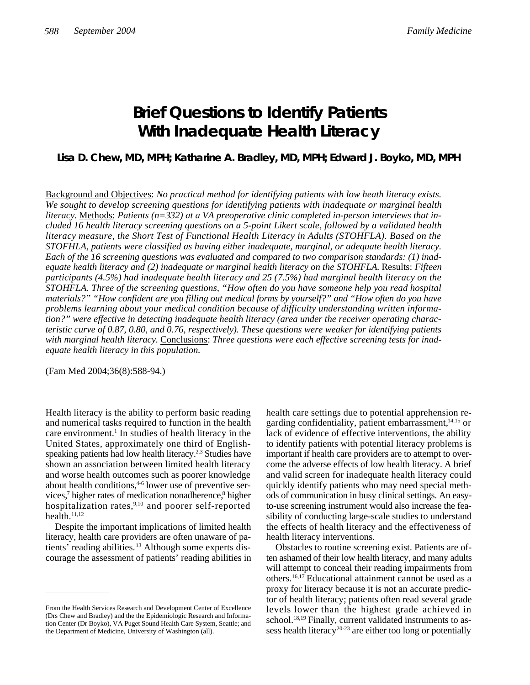# **Brief Questions to Identify Patients With Inadequate Health Literacy**

## **Lisa D. Chew, MD, MPH; Katharine A. Bradley, MD, MPH; Edward J. Boyko, MD, MPH**

Background and Objectives: *No practical method for identifying patients with low heath literacy exists. We sought to develop screening questions for identifying patients with inadequate or marginal health* literacy. Methods: Patients (n=332) at a VA preoperative clinic completed in-person interviews that in*cluded 16 health literacy screening questions on a 5-point Likert scale, followed by a validated health literacy measure, the Short Test of Functional Health Literacy in Adults (STOHFLA). Based on the STOFHLA, patients were classified as having either inadequate, marginal, or adequate health literacy. Each of the 16 screening questions was evaluated and compared to two comparison standards: (1) inadequate health literacy and (2) inadequate or marginal health literacy on the STOHFLA.* Results: *Fifteen participants (4.5%) had inadequate health literacy and 25 (7.5%) had marginal health literacy on the STOHFLA. Three of the screening questions, "How often do you have someone help you read hospital materials?" "How confident are you filling out medical forms by yourself?" and "How often do you have problems learning about your medical condition because of difficulty understanding written information?" were effective in detecting inadequate health literacy (area under the receiver operating characteristic curve of 0.87, 0.80, and 0.76, respectively). These questions were weaker for identifying patients with marginal health literacy.* Conclusions: *Three questions were each effective screening tests for inadequate health literacy in this population.*

(Fam Med 2004;36(8):588-94.)

Health literacy is the ability to perform basic reading and numerical tasks required to function in the health care environment.<sup>1</sup> In studies of health literacy in the United States, approximately one third of Englishspeaking patients had low health literacy.<sup>2,3</sup> Studies have shown an association between limited health literacy and worse health outcomes such as poorer knowledge about health conditions,<sup>4-6</sup> lower use of preventive services,<sup>7</sup> higher rates of medication nonadherence,<sup>8</sup> higher hospitalization rates,<sup>9,10</sup> and poorer self-reported health. $11,12$ 

Despite the important implications of limited health literacy, health care providers are often unaware of patients' reading abilities.<sup>13</sup> Although some experts discourage the assessment of patients' reading abilities in health care settings due to potential apprehension regarding confidentiality, patient embarrassment, $14,15$  or lack of evidence of effective interventions, the ability to identify patients with potential literacy problems is important if health care providers are to attempt to overcome the adverse effects of low health literacy. A brief and valid screen for inadequate health literacy could quickly identify patients who may need special methods of communication in busy clinical settings. An easyto-use screening instrument would also increase the feasibility of conducting large-scale studies to understand the effects of health literacy and the effectiveness of health literacy interventions.

Obstacles to routine screening exist. Patients are often ashamed of their low health literacy, and many adults will attempt to conceal their reading impairments from others.16,17 Educational attainment cannot be used as a proxy for literacy because it is not an accurate predictor of health literacy; patients often read several grade levels lower than the highest grade achieved in school.<sup>18,19</sup> Finally, current validated instruments to assess health literacy<sup>20-23</sup> are either too long or potentially

From the Health Services Research and Development Center of Excellence (Drs Chew and Bradley) and the the Epidemiologic Research and Information Center (Dr Boyko), VA Puget Sound Health Care System, Seattle; and the Department of Medicine, University of Washington (all).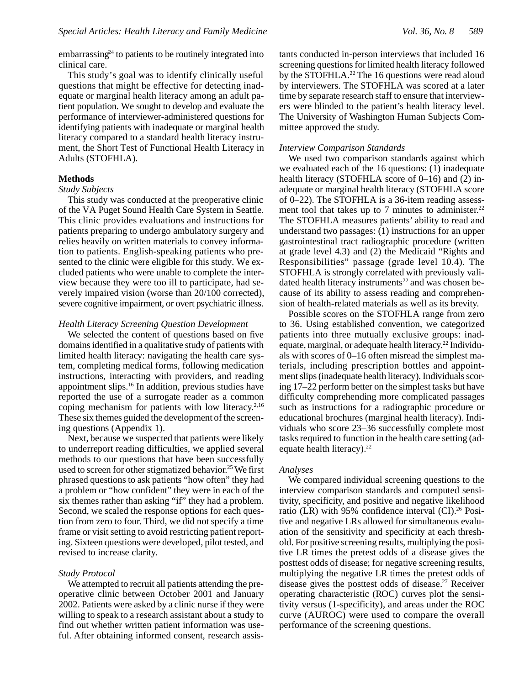embarrassing<sup>24</sup> to patients to be routinely integrated into clinical care.

This study's goal was to identify clinically useful questions that might be effective for detecting inadequate or marginal health literacy among an adult patient population. We sought to develop and evaluate the performance of interviewer-administered questions for identifying patients with inadequate or marginal health literacy compared to a standard health literacy instrument, the Short Test of Functional Health Literacy in Adults (STOFHLA).

### **Methods**

#### *Study Subjects*

This study was conducted at the preoperative clinic of the VA Puget Sound Health Care System in Seattle. This clinic provides evaluations and instructions for patients preparing to undergo ambulatory surgery and relies heavily on written materials to convey information to patients. English-speaking patients who presented to the clinic were eligible for this study. We excluded patients who were unable to complete the interview because they were too ill to participate, had severely impaired vision (worse than 20/100 corrected), severe cognitive impairment, or overt psychiatric illness.

#### *Health Literacy Screening Question Development*

We selected the content of questions based on five domains identified in a qualitative study of patients with limited health literacy: navigating the health care system, completing medical forms, following medication instructions, interacting with providers, and reading appointment slips.<sup>16</sup> In addition, previous studies have reported the use of a surrogate reader as a common coping mechanism for patients with low literacy. $2,16$ These six themes guided the development of the screening questions (Appendix 1).

Next, because we suspected that patients were likely to underreport reading difficulties, we applied several methods to our questions that have been successfully used to screen for other stigmatized behavior.<sup>25</sup> We first phrased questions to ask patients "how often" they had a problem or "how confident" they were in each of the six themes rather than asking "if" they had a problem. Second, we scaled the response options for each question from zero to four. Third, we did not specify a time frame or visit setting to avoid restricting patient reporting. Sixteen questions were developed, pilot tested, and revised to increase clarity.

### *Study Protocol*

We attempted to recruit all patients attending the preoperative clinic between October 2001 and January 2002. Patients were asked by a clinic nurse if they were willing to speak to a research assistant about a study to find out whether written patient information was useful. After obtaining informed consent, research assistants conducted in-person interviews that included 16 screening questions for limited health literacy followed by the STOFHLA. $^{22}$  The 16 questions were read aloud by interviewers. The STOFHLA was scored at a later time by separate research staff to ensure that interviewers were blinded to the patient's health literacy level. The University of Washington Human Subjects Committee approved the study.

#### *Interview Comparison Standards*

We used two comparison standards against which we evaluated each of the 16 questions: (1) inadequate health literacy (STOFHLA score of 0–16) and (2) inadequate or marginal health literacy (STOFHLA score of 0–22). The STOFHLA is a 36-item reading assessment tool that takes up to 7 minutes to administer.<sup>22</sup> The STOFHLA measures patients' ability to read and understand two passages: (1) instructions for an upper gastrointestinal tract radiographic procedure (written at grade level 4.3) and (2) the Medicaid "Rights and Responsibilities" passage (grade level 10.4). The STOFHLA is strongly correlated with previously validated health literacy instruments<sup>22</sup> and was chosen because of its ability to assess reading and comprehension of health-related materials as well as its brevity.

Possible scores on the STOFHLA range from zero to 36. Using established convention, we categorized patients into three mutually exclusive groups: inadequate, marginal, or adequate health literacy.<sup>22</sup> Individuals with scores of 0–16 often misread the simplest materials, including prescription bottles and appointment slips (inadequate health literacy). Individuals scoring 17–22 perform better on the simplest tasks but have difficulty comprehending more complicated passages such as instructions for a radiographic procedure or educational brochures (marginal health literacy). Individuals who score 23–36 successfully complete most tasks required to function in the health care setting (adequate health literacy).<sup>22</sup>

#### *Analyses*

We compared individual screening questions to the interview comparison standards and computed sensitivity, specificity, and positive and negative likelihood ratio (LR) with 95% confidence interval (CI).<sup>26</sup> Positive and negative LRs allowed for simultaneous evaluation of the sensitivity and specificity at each threshold. For positive screening results, multiplying the positive LR times the pretest odds of a disease gives the posttest odds of disease; for negative screening results, multiplying the negative LR times the pretest odds of disease gives the posttest odds of disease.<sup>27</sup> Receiver operating characteristic (ROC) curves plot the sensitivity versus (1-specificity), and areas under the ROC curve (AUROC) were used to compare the overall performance of the screening questions.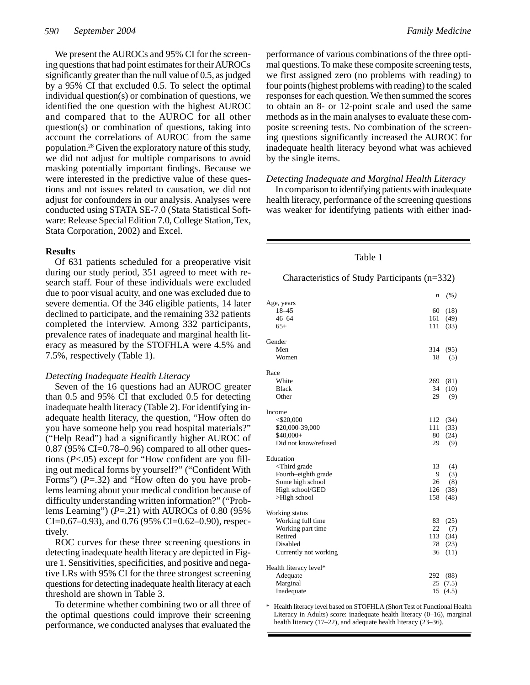We present the AUROCs and 95% CI for the screening questions that had point estimates for their AUROCs significantly greater than the null value of 0.5, as judged by a 95% CI that excluded 0.5. To select the optimal individual question(s) or combination of questions, we identified the one question with the highest AUROC and compared that to the AUROC for all other question(s) or combination of questions, taking into account the correlations of AUROC from the same population.<sup>28</sup> Given the exploratory nature of this study, we did not adjust for multiple comparisons to avoid masking potentially important findings. Because we were interested in the predictive value of these questions and not issues related to causation, we did not adjust for confounders in our analysis. Analyses were conducted using STATA SE-7.0 (Stata Statistical Software: Release Special Edition 7.0, College Station, Tex, Stata Corporation, 2002) and Excel.

## **Results**

Of 631 patients scheduled for a preoperative visit during our study period, 351 agreed to meet with research staff. Four of these individuals were excluded due to poor visual acuity, and one was excluded due to severe dementia. Of the 346 eligible patients, 14 later declined to participate, and the remaining 332 patients completed the interview. Among 332 participants, prevalence rates of inadequate and marginal health literacy as measured by the STOFHLA were 4.5% and 7.5%, respectively (Table 1).

#### *Detecting Inadequate Health Literacy*

Seven of the 16 questions had an AUROC greater than 0.5 and 95% CI that excluded 0.5 for detecting inadequate health literacy (Table 2). For identifying inadequate health literacy, the question, "How often do you have someone help you read hospital materials?" ("Help Read") had a significantly higher AUROC of  $0.87$  (95% CI=0.78–0.96) compared to all other questions (*P*<.05) except for "How confident are you filling out medical forms by yourself?" ("Confident With Forms") ( $P = .32$ ) and "How often do you have problems learning about your medical condition because of difficulty understanding written information?" ("Problems Learning") (*P*=.21) with AUROCs of 0.80 (95%  $CI = 0.67 - 0.93$ , and 0.76 (95%  $CI = 0.62 - 0.90$ ), respectively.

ROC curves for these three screening questions in detecting inadequate health literacy are depicted in Figure 1. Sensitivities, specificities, and positive and negative LRs with 95% CI for the three strongest screening questions for detecting inadequate health literacy at each threshold are shown in Table 3.

To determine whether combining two or all three of the optimal questions could improve their screening performance, we conducted analyses that evaluated the

performance of various combinations of the three optimal questions. To make these composite screening tests, we first assigned zero (no problems with reading) to four points (highest problems with reading) to the scaled responses for each question. We then summed the scores to obtain an 8- or 12-point scale and used the same methods as in the main analyses to evaluate these composite screening tests. No combination of the screening questions significantly increased the AUROC for inadequate health literacy beyond what was achieved by the single items.

### *Detecting Inadequate and Marginal Health Literacy*

In comparison to identifying patients with inadequate health literacy, performance of the screening questions was weaker for identifying patients with either inad-

#### Table 1

#### Characteristics of Study Participants (n=332)

|                                                        | n   | (%)   |  |  |
|--------------------------------------------------------|-----|-------|--|--|
| Age, years<br>18-45                                    | 60  | (18)  |  |  |
| $46 - 64$                                              | 161 | (49)  |  |  |
| $65+$                                                  | 111 | (33)  |  |  |
| Gender                                                 |     |       |  |  |
| Men                                                    | 314 | (95)  |  |  |
| Women                                                  | 18  | (5)   |  |  |
| Race                                                   |     |       |  |  |
| White                                                  | 269 | (81)  |  |  |
| <b>Black</b>                                           | 34  | (10)  |  |  |
| Other                                                  | 29  | (9)   |  |  |
| Income                                                 |     |       |  |  |
| $<$ \$20,000                                           | 112 | (34)  |  |  |
| \$20,000-39,000                                        | 111 | (33)  |  |  |
| $$40,000+$                                             | 80  | (24)  |  |  |
| Did not know/refused                                   | 29  | (9)   |  |  |
| Education                                              |     |       |  |  |
| <third grade<="" td=""><td>13</td><td>(4)</td></third> | 13  | (4)   |  |  |
| Fourth-eighth grade                                    | 9   | (3)   |  |  |
| Some high school                                       | 26  | (8)   |  |  |
| High school/GED                                        | 126 | (38)  |  |  |
| $>$ High school                                        | 158 | (48)  |  |  |
| Working status                                         |     |       |  |  |
| Working full time                                      | 83  | (25)  |  |  |
| Working part time                                      | 22  | (7)   |  |  |
| Retired                                                | 113 | (34)  |  |  |
| Disabled                                               | 78  | (23)  |  |  |
| Currently not working                                  | 36  | (11)  |  |  |
| Health literacy level*                                 |     |       |  |  |
| Adequate                                               | 292 | (88)  |  |  |
| Marginal                                               | 25  | (7.5) |  |  |
| Inadequate                                             | 15  | (4.5) |  |  |

\* Health literacy level based on STOFHLA (Short Test of Functional Health Literacy in Adults) score: inadequate health literacy (0–16), marginal health literacy (17–22), and adequate health literacy (23–36).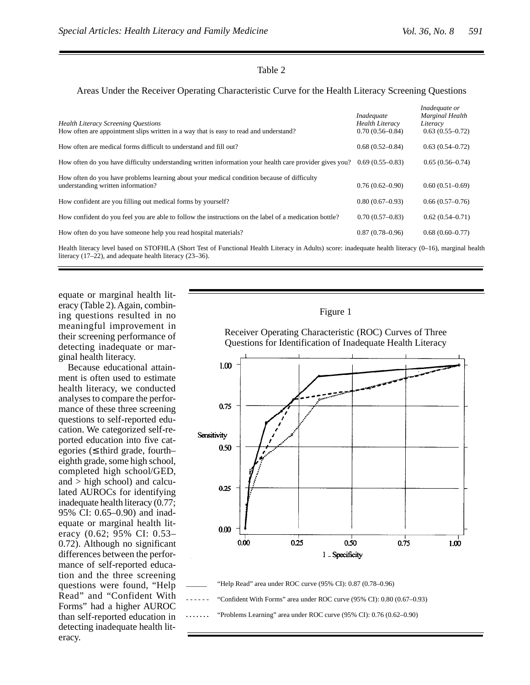## Table 2

## Areas Under the Receiver Operating Characteristic Curve for the Health Literacy Screening Questions

| <b>Health Literacy Screening Ouestions</b><br>How often are appointment slips written in a way that is easy to read and understand? | Inadequate<br><b>Health Literacy</b><br>$0.70(0.56 - 0.84)$ | Inadequate or<br><b>Marginal Health</b><br>Literacy<br>$0.63(0.55-0.72)$ |
|-------------------------------------------------------------------------------------------------------------------------------------|-------------------------------------------------------------|--------------------------------------------------------------------------|
| How often are medical forms difficult to understand and fill out?                                                                   | $0.68(0.52 - 0.84)$                                         | $0.63(0.54 - 0.72)$                                                      |
| How often do you have difficulty understanding written information your health care provider gives you?                             | $0.69(0.55-0.83)$                                           | $0.65(0.56 - 0.74)$                                                      |
| How often do you have problems learning about your medical condition because of difficulty<br>understanding written information?    | $0.76(0.62 - 0.90)$                                         | $0.60(0.51-0.69)$                                                        |
| How confident are you filling out medical forms by yourself?                                                                        | $0.80(0.67-0.93)$                                           | $0.66(0.57-0.76)$                                                        |
| How confident do you feel you are able to follow the instructions on the label of a medication bottle?                              | $0.70(0.57-0.83)$                                           | $0.62(0.54 - 0.71)$                                                      |
| How often do you have someone help you read hospital materials?                                                                     | $0.87(0.78 - 0.96)$                                         | $0.68(0.60 - 0.77)$                                                      |
|                                                                                                                                     |                                                             |                                                                          |

Health literacy level based on STOFHLA (Short Test of Functional Health Literacy in Adults) score: inadequate health literacy (0–16), marginal health literacy (17–22), and adequate health literacy (23–36).

equate or marginal health literacy (Table 2). Again, combining questions resulted in no meaningful improvement in their screening performance of detecting inadequate or marginal health literacy.

Because educational attainment is often used to estimate health literacy, we conducted analyses to compare the performance of these three screening questions to self-reported education. We categorized self-reported education into five categories ( third grade, fourth– eighth grade, some high school, completed high school/GED, and > high school) and calculated AUROCs for identifying inadequate health literacy (0.77; 95% CI: 0.65–0.90) and inadequate or marginal health literacy (0.62; 95% CI: 0.53– 0.72). Although no significant differences between the performance of self-reported education and the three screening questions were found, "Help Read" and "Confident With Forms" had a higher AUROC than self-reported education in detecting inadequate health literacy.





"Confident With Forms" area under ROC curve (95% CI): 0.80 (0.67-0.93)

**. . . . . . .** "Problems Learning" area under ROC curve (95% CI): 0.76 (0.62–0.90)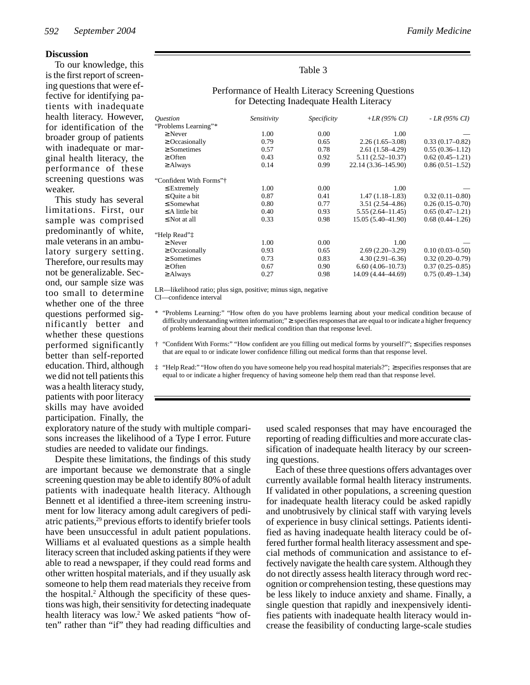#### **Discussion**

To our knowledge, this is the first report of screening questions that were effective for identifying patients with inadequate health literacy. However, for identification of the broader group of patients with inadequate or marginal health literacy, the performance of these screening questions was weaker.

This study has several limitations. First, our sample was comprised predominantly of white, male veterans in an ambulatory surgery setting. Therefore, our results may not be generalizable. Second, our sample size was too small to determine whether one of the three questions performed significantly better and whether these questions performed significantly better than self-reported education. Third, although we did not tell patients this was a health literacy study, patients with poor literacy skills may have avoided participation. Finally, the

#### Table 3

| <i><u><b>Ouestion</b></u></i> | Sensitivity | <i>Specificity</i> | +LR (95% CI)         | - LR (95% CI)       |
|-------------------------------|-------------|--------------------|----------------------|---------------------|
| "Problems Learning"*          |             |                    |                      |                     |
| Never                         | 1.00        | 0.00               | 1.00                 |                     |
| Occasionally                  | 0.79        | 0.65               | $2.26(1.65-3.08)$    | $0.33(0.17-0.82)$   |
| <b>Sometimes</b>              | 0.57        | 0.78               | $2.61(1.58-4.29)$    | $0.55(0.36-1.12)$   |
| Often                         | 0.43        | 0.92               | $5.11(2.52 - 10.37)$ | $0.62(0.45-1.21)$   |
|                               |             |                    |                      |                     |
| Always                        | 0.14        | 0.99               | 22.14 (3.36-145.90)  | $0.86(0.51-1.52)$   |
| "Confident With Forms"†       |             |                    |                      |                     |
| Extremely                     | 1.00        | 0.00               | 1.00                 |                     |
| Quite a bit                   | 0.87        | 0.41               | $1.47(1.18-1.83)$    | $0.32(0.11 - 0.80)$ |
| Somewhat                      | 0.80        | 0.77               | $3.51(2.54 - 4.86)$  | $0.26(0.15-0.70)$   |
| A little bit                  | 0.40        | 0.93               | $5.55(2.64 - 11.45)$ | $0.65(0.47-1.21)$   |
| Not at all                    | 0.33        | 0.98               | 15.05 (5.40-41.90)   | $0.68(0.44 - 1.26)$ |
| "Help Read" <sup>†</sup>      |             |                    |                      |                     |
| Never                         | 1.00        | 0.00               | 1.00                 |                     |
| Occasionally                  | 0.93        | 0.65               | $2.69(2.20-3.29)$    | $0.10(0.03 - 0.50)$ |
| Sometimes                     | 0.73        | 0.83               | $4.30(2.91 - 6.36)$  | $0.32(0.20-0.79)$   |
| Often                         | 0.67        | 0.90               | $6.60(4.06 - 10.73)$ | $0.37(0.25 - 0.85)$ |
| Always                        | 0.27        | 0.98               | 14.09 (4.44–44.69)   | $0.75(0.49-1.34)$   |
|                               |             |                    |                      |                     |

## Performance of Health Literacy Screening Questions for Detecting Inadequate Health Literacy

LR—likelihood ratio; plus sign, positive; minus sign, negative

CI—confidence interval

- \* "Problems Learning:" "How often do you have problems learning about your medical condition because of difficulty understanding written information;" specifies responses that are equal to or indicate a higher frequency of problems learning about their medical condition than that response level.
- † "Confident With Forms:" "How confident are you filling out medical forms by yourself?"; specifies responses that are equal to or indicate lower confidence filling out medical forms than that response level.
- ‡ "Help Read:" "How often do you have someone help you read hospital materials?"; specifies responses that are equal to or indicate a higher frequency of having someone help them read than that response level.

exploratory nature of the study with multiple comparisons increases the likelihood of a Type I error. Future studies are needed to validate our findings.

Despite these limitations, the findings of this study are important because we demonstrate that a single screening question may be able to identify 80% of adult patients with inadequate health literacy. Although Bennett et al identified a three-item screening instrument for low literacy among adult caregivers of pediatric patients,<sup>29</sup> previous efforts to identify briefer tools have been unsuccessful in adult patient populations. Williams et al evaluated questions as a simple health literacy screen that included asking patients if they were able to read a newspaper, if they could read forms and other written hospital materials, and if they usually ask someone to help them read materials they receive from the hospital.<sup>2</sup> Although the specificity of these questions was high, their sensitivity for detecting inadequate health literacy was low.<sup>2</sup> We asked patients "how often" rather than "if" they had reading difficulties and

used scaled responses that may have encouraged the reporting of reading difficulties and more accurate classification of inadequate health literacy by our screening questions.

Each of these three questions offers advantages over currently available formal health literacy instruments. If validated in other populations, a screening question for inadequate health literacy could be asked rapidly and unobtrusively by clinical staff with varying levels of experience in busy clinical settings. Patients identified as having inadequate health literacy could be offered further formal health literacy assessment and special methods of communication and assistance to effectively navigate the health care system. Although they do not directly assess health literacy through word recognition or comprehension testing, these questions may be less likely to induce anxiety and shame. Finally, a single question that rapidly and inexpensively identifies patients with inadequate health literacy would increase the feasibility of conducting large-scale studies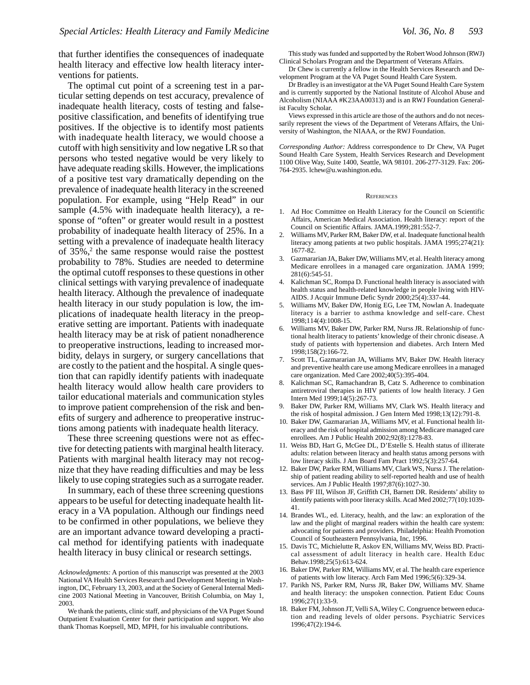that further identifies the consequences of inadequate health literacy and effective low health literacy interventions for patients.

The optimal cut point of a screening test in a particular setting depends on test accuracy, prevalence of inadequate health literacy, costs of testing and falsepositive classification, and benefits of identifying true positives. If the objective is to identify most patients with inadequate health literacy, we would choose a cutoff with high sensitivity and low negative LR so that persons who tested negative would be very likely to have adequate reading skills. However, the implications of a positive test vary dramatically depending on the prevalence of inadequate health literacy in the screened population. For example, using "Help Read" in our sample (4.5% with inadequate health literacy), a response of "often" or greater would result in a posttest probability of inadequate health literacy of 25%. In a setting with a prevalence of inadequate health literacy of 35%,<sup>2</sup> the same response would raise the posttest probability to 78%. Studies are needed to determine the optimal cutoff responses to these questions in other clinical settings with varying prevalence of inadequate health literacy. Although the prevalence of inadequate health literacy in our study population is low, the implications of inadequate health literacy in the preoperative setting are important. Patients with inadequate health literacy may be at risk of patient nonadherence to preoperative instructions, leading to increased morbidity, delays in surgery, or surgery cancellations that are costly to the patient and the hospital. A single question that can rapidly identify patients with inadequate health literacy would allow health care providers to tailor educational materials and communication styles to improve patient comprehension of the risk and benefits of surgery and adherence to preoperative instructions among patients with inadequate health literacy.

These three screening questions were not as effective for detecting patients with marginal health literacy. Patients with marginal health literacy may not recognize that they have reading difficulties and may be less likely to use coping strategies such as a surrogate reader.

In summary, each of these three screening questions appears to be useful for detecting inadequate health literacy in a VA population. Although our findings need to be confirmed in other populations, we believe they are an important advance toward developing a practical method for identifying patients with inadequate health literacy in busy clinical or research settings.

This study was funded and supported by the Robert Wood Johnson (RWJ) Clinical Scholars Program and the Department of Veterans Affairs.

Dr Chew is currently a fellow in the Health Services Research and Development Program at the VA Puget Sound Health Care System.

Dr Bradley is an investigator at the VA Puget Sound Health Care System and is currently supported by the National Institute of Alcohol Abuse and Alcoholism (NIAAA #K23AA00313) and is an RWJ Foundation Generalist Faculty Scholar.

Views expressed in this article are those of the authors and do not necessarily represent the views of the Department of Veterans Affairs, the University of Washington, the NIAAA, or the RWJ Foundation.

*Corresponding Author:* Address correspondence to Dr Chew, VA Puget Sound Health Care System, Health Services Research and Development 1100 Olive Way, Suite 1400, Seattle, WA 98101. 206-277-3129. Fax: 206- 764-2935. lchew@u.washington.edu.

#### **REFERENCES**

- 1. Ad Hoc Committee on Health Literacy for the Council on Scientific Affairs, American Medical Association. Health literacy: report of the Council on Scientific Affairs. JAMA.1999;281:552-7.
- 2. Williams MV, Parker RM, Baker DW, et al. Inadequate functional health literacy among patients at two public hospitals. JAMA 1995;274(21): 1677-82.
- 3. Gazmararian JA, Baker DW, Williams MV, et al. Health literacy among Medicare enrollees in a managed care organization. JAMA 1999; 281(6):545-51.
- 4. Kalichman SC, Rompa D. Functional health literacy is associated with health status and health-related knowledge in people living with HIV-AIDS. J Acquir Immune Defic Syndr 2000;25(4):337-44.
- 5. Williams MV, Baker DW, Honig EG, Lee TM, Nowlan A. Inadequate literacy is a barrier to asthma knowledge and self-care. Chest 1998;114(4):1008-15.
- Williams MV, Baker DW, Parker RM, Nurss JR. Relationship of functional health literacy to patients' knowledge of their chronic disease. A study of patients with hypertension and diabetes. Arch Intern Med 1998;158(2):166-72.
- 7. Scott TL, Gazmararian JA, Williams MV, Baker DW. Health literacy and preventive health care use among Medicare enrollees in a managed care organization. Med Care 2002;40(5):395-404.
- 8. Kalichman SC, Ramachandran B, Catz S. Adherence to combination antiretroviral therapies in HIV patients of low health literacy. J Gen Intern Med 1999;14(5):267-73.
- 9. Baker DW, Parker RM, Williams MV, Clark WS. Health literacy and the risk of hospital admission. J Gen Intern Med 1998;13(12):791-8.
- 10. Baker DW, Gazmararian JA, Williams MV, et al. Functional health literacy and the risk of hospital admission among Medicare managed care enrollees. Am J Public Health 2002;92(8):1278-83.
- 11. Weiss BD, Hart G, McGee DL, D'Estelle S. Health status of illiterate adults: relation between literacy and health status among persons with low literacy skills. J Am Board Fam Pract 1992;5(3):257-64.
- 12. Baker DW, Parker RM, Williams MV, Clark WS, Nurss J. The relationship of patient reading ability to self-reported health and use of health services. Am J Public Health 1997;87(6):1027-30.
- 13. Bass PF III, Wilson JF, Griffith CH, Barnett DR. Residents' ability to identify patients with poor literacy skills. Acad Med 2002;77(10):1039- 41.
- 14. Brandes WL, ed. Literacy, health, and the law: an exploration of the law and the plight of marginal readers within the health care system: advocating for patients and providers. Philadelphia: Health Promotion Council of Southeastern Pennsylvania, Inc, 1996.
- 15. Davis TC, Michielutte R, Askov EN, Williams MV, Weiss BD. Practical assessment of adult literacy in health care. Health Educ Behav.1998;25(5):613-624.
- 16. Baker DW, Parker RM, Williams MV, et al. The health care experience of patients with low literacy. Arch Fam Med 1996;5(6):329-34.
- 17. Parikh NS, Parker RM, Nurss JR, Baker DW, Williams MV. Shame and health literacy: the unspoken connection. Patient Educ Couns 1996;27(1):33-9.
- 18. Baker FM, Johnson JT, Velli SA, Wiley C. Congruence between education and reading levels of older persons. Psychiatric Services 1996;47(2):194-6.

*Acknowledgments:* A portion of this manuscript was presented at the 2003 National VA Health Services Research and Development Meeting in Washington, DC, February 13, 2003, and at the Society of General Internal Medicine 2003 National Meeting in Vancouver, British Columbia, on May 1, 2003.

We thank the patients, clinic staff, and physicians of the VA Puget Sound Outpatient Evaluation Center for their participation and support. We also thank Thomas Koepsell, MD, MPH, for his invaluable contributions.